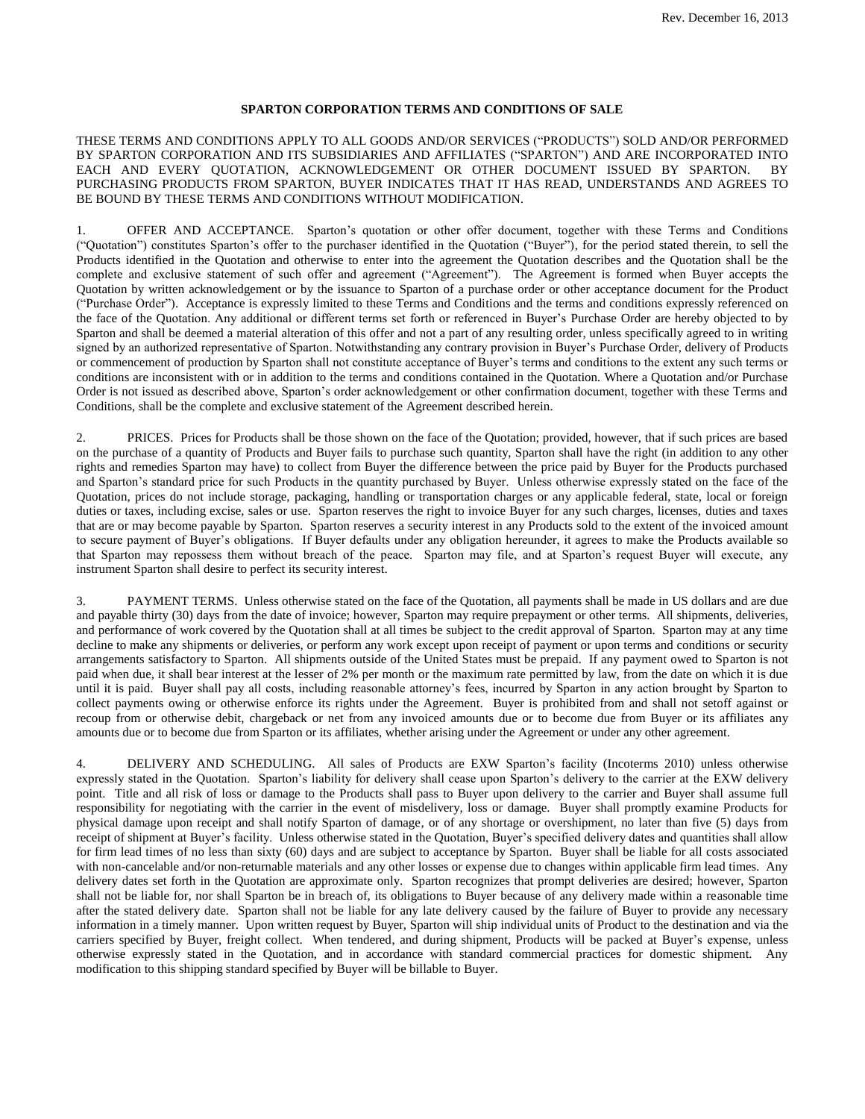## **SPARTON CORPORATION TERMS AND CONDITIONS OF SALE**

THESE TERMS AND CONDITIONS APPLY TO ALL GOODS AND/OR SERVICES ("PRODUCTS") SOLD AND/OR PERFORMED BY SPARTON CORPORATION AND ITS SUBSIDIARIES AND AFFILIATES ("SPARTON") AND ARE INCORPORATED INTO EACH AND EVERY QUOTATION, ACKNOWLEDGEMENT OR OTHER DOCUMENT ISSUED BY SPARTON. BY PURCHASING PRODUCTS FROM SPARTON, BUYER INDICATES THAT IT HAS READ, UNDERSTANDS AND AGREES TO BE BOUND BY THESE TERMS AND CONDITIONS WITHOUT MODIFICATION.

1. OFFER AND ACCEPTANCE. Sparton's quotation or other offer document, together with these Terms and Conditions ("Quotation") constitutes Sparton's offer to the purchaser identified in the Quotation ("Buyer"), for the period stated therein, to sell the Products identified in the Quotation and otherwise to enter into the agreement the Quotation describes and the Quotation shall be the complete and exclusive statement of such offer and agreement ("Agreement"). The Agreement is formed when Buyer accepts the Quotation by written acknowledgement or by the issuance to Sparton of a purchase order or other acceptance document for the Product ("Purchase Order"). Acceptance is expressly limited to these Terms and Conditions and the terms and conditions expressly referenced on the face of the Quotation. Any additional or different terms set forth or referenced in Buyer's Purchase Order are hereby objected to by Sparton and shall be deemed a material alteration of this offer and not a part of any resulting order, unless specifically agreed to in writing signed by an authorized representative of Sparton. Notwithstanding any contrary provision in Buyer's Purchase Order, delivery of Products or commencement of production by Sparton shall not constitute acceptance of Buyer's terms and conditions to the extent any such terms or conditions are inconsistent with or in addition to the terms and conditions contained in the Quotation. Where a Quotation and/or Purchase Order is not issued as described above, Sparton's order acknowledgement or other confirmation document, together with these Terms and Conditions, shall be the complete and exclusive statement of the Agreement described herein.

2. PRICES. Prices for Products shall be those shown on the face of the Quotation; provided, however, that if such prices are based on the purchase of a quantity of Products and Buyer fails to purchase such quantity, Sparton shall have the right (in addition to any other rights and remedies Sparton may have) to collect from Buyer the difference between the price paid by Buyer for the Products purchased and Sparton's standard price for such Products in the quantity purchased by Buyer. Unless otherwise expressly stated on the face of the Quotation, prices do not include storage, packaging, handling or transportation charges or any applicable federal, state, local or foreign duties or taxes, including excise, sales or use. Sparton reserves the right to invoice Buyer for any such charges, licenses, duties and taxes that are or may become payable by Sparton. Sparton reserves a security interest in any Products sold to the extent of the invoiced amount to secure payment of Buyer's obligations. If Buyer defaults under any obligation hereunder, it agrees to make the Products available so that Sparton may repossess them without breach of the peace. Sparton may file, and at Sparton's request Buyer will execute, any instrument Sparton shall desire to perfect its security interest.

3. PAYMENT TERMS. Unless otherwise stated on the face of the Quotation, all payments shall be made in US dollars and are due and payable thirty (30) days from the date of invoice; however, Sparton may require prepayment or other terms. All shipments, deliveries, and performance of work covered by the Quotation shall at all times be subject to the credit approval of Sparton. Sparton may at any time decline to make any shipments or deliveries, or perform any work except upon receipt of payment or upon terms and conditions or security arrangements satisfactory to Sparton. All shipments outside of the United States must be prepaid. If any payment owed to Sparton is not paid when due, it shall bear interest at the lesser of 2% per month or the maximum rate permitted by law, from the date on which it is due until it is paid. Buyer shall pay all costs, including reasonable attorney's fees, incurred by Sparton in any action brought by Sparton to collect payments owing or otherwise enforce its rights under the Agreement. Buyer is prohibited from and shall not setoff against or recoup from or otherwise debit, chargeback or net from any invoiced amounts due or to become due from Buyer or its affiliates any amounts due or to become due from Sparton or its affiliates, whether arising under the Agreement or under any other agreement.

4. DELIVERY AND SCHEDULING. All sales of Products are EXW Sparton's facility (Incoterms 2010) unless otherwise expressly stated in the Quotation. Sparton's liability for delivery shall cease upon Sparton's delivery to the carrier at the EXW delivery point. Title and all risk of loss or damage to the Products shall pass to Buyer upon delivery to the carrier and Buyer shall assume full responsibility for negotiating with the carrier in the event of misdelivery, loss or damage. Buyer shall promptly examine Products for physical damage upon receipt and shall notify Sparton of damage, or of any shortage or overshipment, no later than five (5) days from receipt of shipment at Buyer's facility. Unless otherwise stated in the Quotation, Buyer's specified delivery dates and quantities shall allow for firm lead times of no less than sixty (60) days and are subject to acceptance by Sparton. Buyer shall be liable for all costs associated with non-cancelable and/or non-returnable materials and any other losses or expense due to changes within applicable firm lead times. Any delivery dates set forth in the Quotation are approximate only. Sparton recognizes that prompt deliveries are desired; however, Sparton shall not be liable for, nor shall Sparton be in breach of, its obligations to Buyer because of any delivery made within a reasonable time after the stated delivery date. Sparton shall not be liable for any late delivery caused by the failure of Buyer to provide any necessary information in a timely manner. Upon written request by Buyer, Sparton will ship individual units of Product to the destination and via the carriers specified by Buyer, freight collect. When tendered, and during shipment, Products will be packed at Buyer's expense, unless otherwise expressly stated in the Quotation, and in accordance with standard commercial practices for domestic shipment. Any modification to this shipping standard specified by Buyer will be billable to Buyer.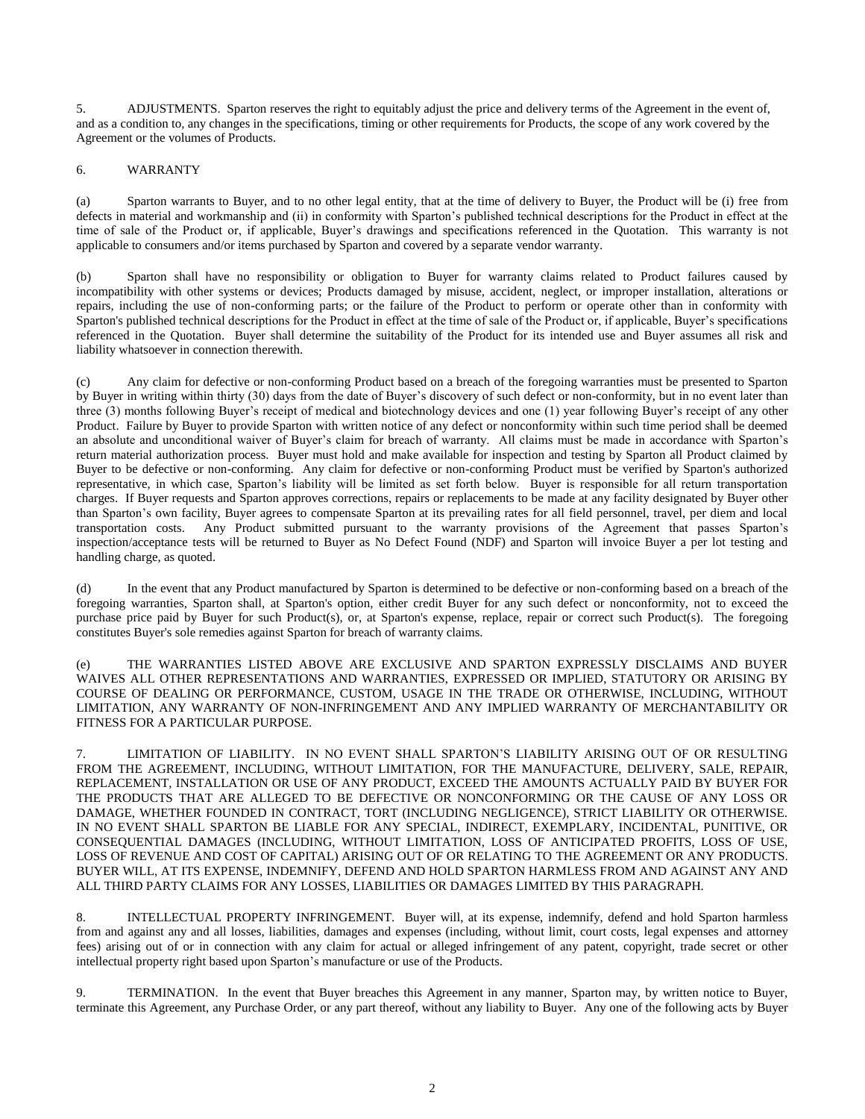5. ADJUSTMENTS. Sparton reserves the right to equitably adjust the price and delivery terms of the Agreement in the event of, and as a condition to, any changes in the specifications, timing or other requirements for Products, the scope of any work covered by the Agreement or the volumes of Products.

## 6. WARRANTY

(a) Sparton warrants to Buyer, and to no other legal entity, that at the time of delivery to Buyer, the Product will be (i) free from defects in material and workmanship and (ii) in conformity with Sparton's published technical descriptions for the Product in effect at the time of sale of the Product or, if applicable, Buyer's drawings and specifications referenced in the Quotation. This warranty is not applicable to consumers and/or items purchased by Sparton and covered by a separate vendor warranty.

(b) Sparton shall have no responsibility or obligation to Buyer for warranty claims related to Product failures caused by incompatibility with other systems or devices; Products damaged by misuse, accident, neglect, or improper installation, alterations or repairs, including the use of non-conforming parts; or the failure of the Product to perform or operate other than in conformity with Sparton's published technical descriptions for the Product in effect at the time of sale of the Product or, if applicable, Buyer's specifications referenced in the Quotation. Buyer shall determine the suitability of the Product for its intended use and Buyer assumes all risk and liability whatsoever in connection therewith.

(c) Any claim for defective or non-conforming Product based on a breach of the foregoing warranties must be presented to Sparton by Buyer in writing within thirty (30) days from the date of Buyer's discovery of such defect or non-conformity, but in no event later than three (3) months following Buyer's receipt of medical and biotechnology devices and one (1) year following Buyer's receipt of any other Product. Failure by Buyer to provide Sparton with written notice of any defect or nonconformity within such time period shall be deemed an absolute and unconditional waiver of Buyer's claim for breach of warranty. All claims must be made in accordance with Sparton's return material authorization process. Buyer must hold and make available for inspection and testing by Sparton all Product claimed by Buyer to be defective or non-conforming. Any claim for defective or non-conforming Product must be verified by Sparton's authorized representative, in which case, Sparton's liability will be limited as set forth below. Buyer is responsible for all return transportation charges. If Buyer requests and Sparton approves corrections, repairs or replacements to be made at any facility designated by Buyer other than Sparton's own facility, Buyer agrees to compensate Sparton at its prevailing rates for all field personnel, travel, per diem and local transportation costs. Any Product submitted pursuant to the warranty provisions of the Agreement that passes Sparton's inspection/acceptance tests will be returned to Buyer as No Defect Found (NDF) and Sparton will invoice Buyer a per lot testing and handling charge, as quoted.

(d) In the event that any Product manufactured by Sparton is determined to be defective or non-conforming based on a breach of the foregoing warranties, Sparton shall, at Sparton's option, either credit Buyer for any such defect or nonconformity, not to exceed the purchase price paid by Buyer for such Product(s), or, at Sparton's expense, replace, repair or correct such Product(s). The foregoing constitutes Buyer's sole remedies against Sparton for breach of warranty claims.

(e) THE WARRANTIES LISTED ABOVE ARE EXCLUSIVE AND SPARTON EXPRESSLY DISCLAIMS AND BUYER WAIVES ALL OTHER REPRESENTATIONS AND WARRANTIES, EXPRESSED OR IMPLIED, STATUTORY OR ARISING BY COURSE OF DEALING OR PERFORMANCE, CUSTOM, USAGE IN THE TRADE OR OTHERWISE, INCLUDING, WITHOUT LIMITATION, ANY WARRANTY OF NON-INFRINGEMENT AND ANY IMPLIED WARRANTY OF MERCHANTABILITY OR FITNESS FOR A PARTICULAR PURPOSE.

7. LIMITATION OF LIABILITY. IN NO EVENT SHALL SPARTON'S LIABILITY ARISING OUT OF OR RESULTING FROM THE AGREEMENT, INCLUDING, WITHOUT LIMITATION, FOR THE MANUFACTURE, DELIVERY, SALE, REPAIR, REPLACEMENT, INSTALLATION OR USE OF ANY PRODUCT, EXCEED THE AMOUNTS ACTUALLY PAID BY BUYER FOR THE PRODUCTS THAT ARE ALLEGED TO BE DEFECTIVE OR NONCONFORMING OR THE CAUSE OF ANY LOSS OR DAMAGE, WHETHER FOUNDED IN CONTRACT, TORT (INCLUDING NEGLIGENCE), STRICT LIABILITY OR OTHERWISE. IN NO EVENT SHALL SPARTON BE LIABLE FOR ANY SPECIAL, INDIRECT, EXEMPLARY, INCIDENTAL, PUNITIVE, OR CONSEQUENTIAL DAMAGES (INCLUDING, WITHOUT LIMITATION, LOSS OF ANTICIPATED PROFITS, LOSS OF USE, LOSS OF REVENUE AND COST OF CAPITAL) ARISING OUT OF OR RELATING TO THE AGREEMENT OR ANY PRODUCTS. BUYER WILL, AT ITS EXPENSE, INDEMNIFY, DEFEND AND HOLD SPARTON HARMLESS FROM AND AGAINST ANY AND ALL THIRD PARTY CLAIMS FOR ANY LOSSES, LIABILITIES OR DAMAGES LIMITED BY THIS PARAGRAPH.

8. INTELLECTUAL PROPERTY INFRINGEMENT. Buyer will, at its expense, indemnify, defend and hold Sparton harmless from and against any and all losses, liabilities, damages and expenses (including, without limit, court costs, legal expenses and attorney fees) arising out of or in connection with any claim for actual or alleged infringement of any patent, copyright, trade secret or other intellectual property right based upon Sparton's manufacture or use of the Products.

9. TERMINATION. In the event that Buyer breaches this Agreement in any manner, Sparton may, by written notice to Buyer, terminate this Agreement, any Purchase Order, or any part thereof, without any liability to Buyer. Any one of the following acts by Buyer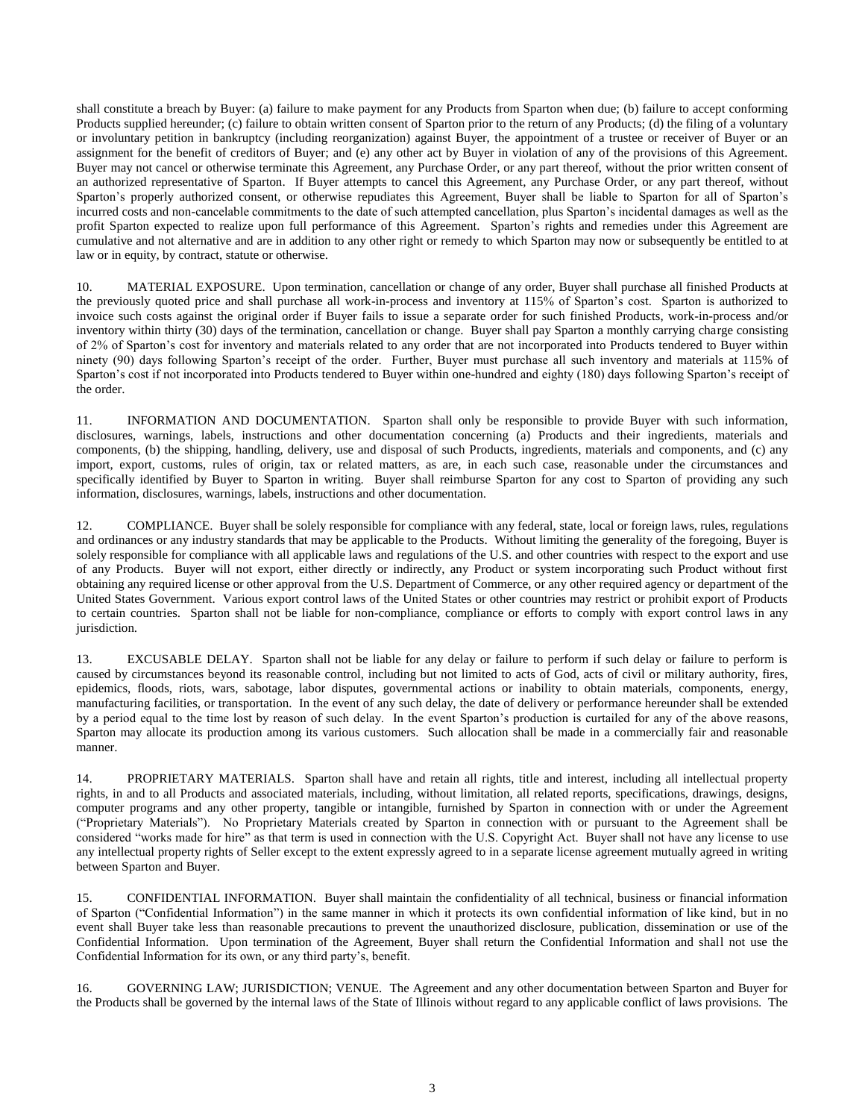shall constitute a breach by Buyer: (a) failure to make payment for any Products from Sparton when due; (b) failure to accept conforming Products supplied hereunder; (c) failure to obtain written consent of Sparton prior to the return of any Products; (d) the filing of a voluntary or involuntary petition in bankruptcy (including reorganization) against Buyer, the appointment of a trustee or receiver of Buyer or an assignment for the benefit of creditors of Buyer; and (e) any other act by Buyer in violation of any of the provisions of this Agreement. Buyer may not cancel or otherwise terminate this Agreement, any Purchase Order, or any part thereof, without the prior written consent of an authorized representative of Sparton. If Buyer attempts to cancel this Agreement, any Purchase Order, or any part thereof, without Sparton's properly authorized consent, or otherwise repudiates this Agreement, Buyer shall be liable to Sparton for all of Sparton's incurred costs and non-cancelable commitments to the date of such attempted cancellation, plus Sparton's incidental damages as well as the profit Sparton expected to realize upon full performance of this Agreement. Sparton's rights and remedies under this Agreement are cumulative and not alternative and are in addition to any other right or remedy to which Sparton may now or subsequently be entitled to at law or in equity, by contract, statute or otherwise.

10. MATERIAL EXPOSURE. Upon termination, cancellation or change of any order, Buyer shall purchase all finished Products at the previously quoted price and shall purchase all work-in-process and inventory at 115% of Sparton's cost. Sparton is authorized to invoice such costs against the original order if Buyer fails to issue a separate order for such finished Products, work-in-process and/or inventory within thirty (30) days of the termination, cancellation or change. Buyer shall pay Sparton a monthly carrying charge consisting of 2% of Sparton's cost for inventory and materials related to any order that are not incorporated into Products tendered to Buyer within ninety (90) days following Sparton's receipt of the order. Further, Buyer must purchase all such inventory and materials at 115% of Sparton's cost if not incorporated into Products tendered to Buyer within one-hundred and eighty (180) days following Sparton's receipt of the order.

11. INFORMATION AND DOCUMENTATION. Sparton shall only be responsible to provide Buyer with such information, disclosures, warnings, labels, instructions and other documentation concerning (a) Products and their ingredients, materials and components, (b) the shipping, handling, delivery, use and disposal of such Products, ingredients, materials and components, and (c) any import, export, customs, rules of origin, tax or related matters, as are, in each such case, reasonable under the circumstances and specifically identified by Buyer to Sparton in writing. Buyer shall reimburse Sparton for any cost to Sparton of providing any such information, disclosures, warnings, labels, instructions and other documentation.

12. COMPLIANCE. Buyer shall be solely responsible for compliance with any federal, state, local or foreign laws, rules, regulations and ordinances or any industry standards that may be applicable to the Products. Without limiting the generality of the foregoing, Buyer is solely responsible for compliance with all applicable laws and regulations of the U.S. and other countries with respect to the export and use of any Products. Buyer will not export, either directly or indirectly, any Product or system incorporating such Product without first obtaining any required license or other approval from the U.S. Department of Commerce, or any other required agency or department of the United States Government. Various export control laws of the United States or other countries may restrict or prohibit export of Products to certain countries. Sparton shall not be liable for non-compliance, compliance or efforts to comply with export control laws in any jurisdiction.

13. EXCUSABLE DELAY. Sparton shall not be liable for any delay or failure to perform if such delay or failure to perform is caused by circumstances beyond its reasonable control, including but not limited to acts of God, acts of civil or military authority, fires, epidemics, floods, riots, wars, sabotage, labor disputes, governmental actions or inability to obtain materials, components, energy, manufacturing facilities, or transportation. In the event of any such delay, the date of delivery or performance hereunder shall be extended by a period equal to the time lost by reason of such delay. In the event Sparton's production is curtailed for any of the above reasons, Sparton may allocate its production among its various customers. Such allocation shall be made in a commercially fair and reasonable manner.

14. PROPRIETARY MATERIALS. Sparton shall have and retain all rights, title and interest, including all intellectual property rights, in and to all Products and associated materials, including, without limitation, all related reports, specifications, drawings, designs, computer programs and any other property, tangible or intangible, furnished by Sparton in connection with or under the Agreement ("Proprietary Materials"). No Proprietary Materials created by Sparton in connection with or pursuant to the Agreement shall be considered "works made for hire" as that term is used in connection with the U.S. Copyright Act. Buyer shall not have any license to use any intellectual property rights of Seller except to the extent expressly agreed to in a separate license agreement mutually agreed in writing between Sparton and Buyer.

15. CONFIDENTIAL INFORMATION. Buyer shall maintain the confidentiality of all technical, business or financial information of Sparton ("Confidential Information") in the same manner in which it protects its own confidential information of like kind, but in no event shall Buyer take less than reasonable precautions to prevent the unauthorized disclosure, publication, dissemination or use of the Confidential Information. Upon termination of the Agreement, Buyer shall return the Confidential Information and shall not use the Confidential Information for its own, or any third party's, benefit.

16. GOVERNING LAW; JURISDICTION; VENUE. The Agreement and any other documentation between Sparton and Buyer for the Products shall be governed by the internal laws of the State of Illinois without regard to any applicable conflict of laws provisions. The